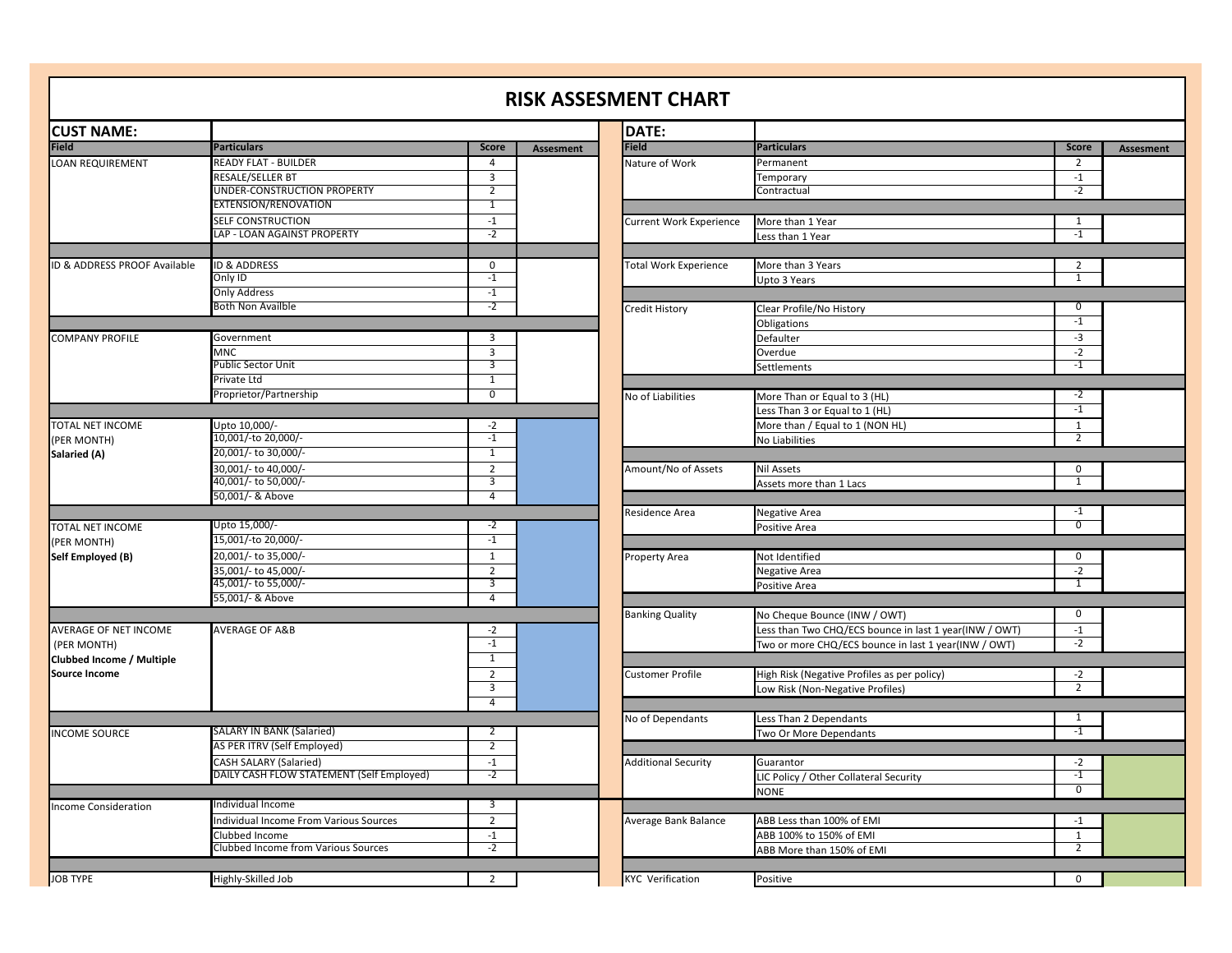## **RISK ASSESMENT CHART**

| <b>CUST NAME:</b>            |                                           |                |                  | DATE:                        |                     |
|------------------------------|-------------------------------------------|----------------|------------------|------------------------------|---------------------|
| <b>Field</b>                 | <b>Particulars</b>                        | <b>Score</b>   | <b>Assesment</b> | <b>Field</b>                 | Particul            |
| LOAN REQUIREMENT             | READY FLAT - BUILDER                      | $\overline{4}$ |                  | Nature of Work               | Perman              |
|                              | RESALE/SELLER BT                          | 3              |                  |                              | Tempor              |
|                              | UNDER-CONSTRUCTION PROPERTY               | $\overline{2}$ |                  |                              | Contrad             |
|                              | EXTENSION/RENOVATION                      | 1              |                  |                              |                     |
|                              | SELF CONSTRUCTION                         | $-1$           |                  | Current Work Experience      | More tl             |
|                              | LAP - LOAN AGAINST PROPERTY               | $-2$           |                  |                              | Less tha            |
|                              | <b>ID &amp; ADDRESS</b>                   | $\mathbf 0$    |                  |                              |                     |
| ID & ADDRESS PROOF Available | Only ID                                   | $-1$           |                  | <b>Total Work Experience</b> | More tl             |
|                              | <b>Only Address</b>                       | $-1$           |                  |                              | Upto 3              |
|                              | <b>Both Non Availble</b>                  | $-2$           |                  |                              |                     |
|                              |                                           |                |                  | Credit History               | Clear Pi<br>Obligat |
| COMPANY PROFILE              | Government                                | 3              |                  |                              | Default             |
|                              | <b>MNC</b>                                | $\overline{3}$ |                  |                              | Overdu              |
|                              | Public Sector Unit                        | 3              |                  |                              | Settlem             |
|                              | Private Ltd                               | $\overline{1}$ |                  |                              |                     |
|                              | Proprietor/Partnership                    | $\overline{0}$ |                  | No of Liabilities            | More T              |
|                              |                                           |                |                  |                              | ess Th              |
| TOTAL NET INCOME             | Upto 10,000/-                             | $-2$           |                  |                              | More tl             |
| (PER MONTH)                  | 10,001/-to 20,000/-                       | $-1$           |                  |                              | No Liab             |
| Salaried (A)                 | 20,001/- to 30,000/-                      | $\overline{1}$ |                  |                              |                     |
|                              | 30,001/- to 40,000/-                      | $\overline{2}$ |                  | Amount/No of Assets          | Nil Asse            |
|                              | 40,001/- to 50,000/-                      | 3              |                  |                              |                     |
|                              | 50,001/- & Above                          | $\overline{4}$ |                  |                              | Assets r            |
|                              |                                           |                |                  | Residence Area               | Negativ             |
| TOTAL NET INCOME             | Upto 15,000/-                             | -2             |                  |                              | Positive            |
| (PER MONTH)                  | 15,001/-to 20,000/-                       | $-1$           |                  |                              |                     |
| Self Employed (B)            | 20,001/- to 35,000/-                      | $\mathbf{1}$   |                  | Property Area                | Not Ide             |
|                              | 35,001/- to 45,000/-                      | $\overline{2}$ |                  |                              | Negativ             |
|                              | 45,001/- to 55,000/-                      | 3              |                  |                              | Positive            |
|                              | 55,001/- & Above                          | 4              |                  |                              |                     |
|                              |                                           |                |                  | <b>Banking Quality</b>       | No Che              |
| AVERAGE OF NET INCOME        | <b>AVERAGE OF A&amp;B</b>                 | $-2$           |                  |                              | Less tha            |
| (PER MONTH)                  |                                           | $-1$           |                  |                              | Two or              |
| Clubbed Income / Multiple    |                                           | 1              |                  |                              |                     |
| <b>Source Income</b>         |                                           | $\overline{2}$ |                  | Customer Profile             | High Ris            |
|                              |                                           | 3<br>4         |                  |                              | Low Ris             |
|                              |                                           |                |                  | No of Dependants             | Less Th             |
| <b>INCOME SOURCE</b>         | <b>SALARY IN BANK (Salaried)</b>          | 2              |                  |                              | Two Or              |
|                              | AS PER ITRV (Self Employed)               | 2              |                  |                              |                     |
|                              | CASH SALARY (Salaried)                    | $-1$           |                  | <b>Additional Security</b>   | Guaran              |
|                              | DAILY CASH FLOW STATEMENT (Self Employed) | $-2$           |                  |                              | LIC Poli            |
|                              |                                           |                |                  |                              | <b>NONE</b>         |
| <b>Income Consideration</b>  | Individual Income                         | 3              |                  |                              |                     |
|                              | Individual Income From Various Sources    | $\overline{2}$ |                  | Average Bank Balance         | ABB Les             |
|                              | Clubbed Income                            | $-1$           |                  |                              | ABB 10              |
|                              | Clubbed Income from Various Sources       | $-2$           |                  |                              | ABB Mo              |
|                              |                                           |                |                  |                              |                     |
| <b>JOB TYPE</b>              | Highly-Skilled Job                        | 2              |                  | <b>KYC Verification</b>      | Positive            |

|                                           |                |                  | DATE:                        |                                                        |                         |           |
|-------------------------------------------|----------------|------------------|------------------------------|--------------------------------------------------------|-------------------------|-----------|
| <b>Particulars</b>                        | <b>Score</b>   | <b>Assesment</b> | <b>Field</b>                 | <b>Particulars</b>                                     | <b>Score</b>            | Assesment |
| READY FLAT - BUILDER                      | 4              |                  | Nature of Work               | Permanent                                              | $\overline{2}$          |           |
| RESALE/SELLER BT                          | 3              |                  |                              | Temporary                                              | $^{\text{{\small -1}}}$ |           |
| UNDER-CONSTRUCTION PROPERTY               | $\overline{2}$ |                  |                              | Contractual                                            | $-2$                    |           |
| EXTENSION/RENOVATION                      | $\overline{1}$ |                  |                              |                                                        |                         |           |
| SELF CONSTRUCTION                         | $-1$           |                  | Current Work Experience      | More than 1 Year                                       | 1                       |           |
| LAP - LOAN AGAINST PROPERTY               | $-2$           |                  |                              | Less than 1 Year                                       | $-1$                    |           |
|                                           |                |                  |                              |                                                        |                         |           |
| ID & ADDRESS                              | $\mathbf 0$    |                  | <b>Total Work Experience</b> | More than 3 Years                                      | $\overline{2}$          |           |
| Only ID                                   | $-1$           |                  |                              | Upto 3 Years                                           | 1                       |           |
| Only Address                              | $-1$           |                  |                              |                                                        |                         |           |
| Both Non Availble                         | $-2$           |                  | Credit History               | Clear Profile/No History                               | $\overline{0}$          |           |
|                                           |                |                  |                              | Obligations                                            | $-1$                    |           |
| Government                                | 3              |                  |                              | Defaulter                                              | $-3$                    |           |
| MNC                                       | 3              |                  |                              | Overdue                                                | $-2$                    |           |
| Public Sector Unit                        | 3              |                  |                              | Settlements                                            | $-1$                    |           |
| Private Ltd                               | $\overline{1}$ |                  |                              |                                                        |                         |           |
| Proprietor/Partnership                    | $\overline{0}$ |                  | No of Liabilities            | More Than or Equal to 3 (HL)                           | $-2$                    |           |
|                                           |                |                  |                              | Less Than 3 or Equal to 1 (HL)                         | $-1$                    |           |
| Upto 10,000/-                             | $-2$           |                  |                              | More than / Equal to 1 (NON HL)                        | $\mathbf{1}$            |           |
| 10,001/-to 20,000/-                       | $-1$           |                  |                              | No Liabilities                                         | $\overline{2}$          |           |
| 20,001/- to 30,000/-                      | $\mathbf{1}$   |                  |                              |                                                        |                         |           |
| 30,001/- to 40,000/-                      | $\overline{2}$ |                  | Amount/No of Assets          | <b>Nil Assets</b>                                      | $\mathbf 0$             |           |
| 40,001/- to 50,000/-                      | 3              |                  |                              | Assets more than 1 Lacs                                | $\mathbf{1}$            |           |
| 50,001/- & Above                          | $\overline{4}$ |                  |                              |                                                        |                         |           |
|                                           |                |                  | Residence Area               | <b>Negative Area</b>                                   | $-1$                    |           |
| Upto 15,000/-                             | $-2$           |                  |                              | Positive Area                                          | $\overline{0}$          |           |
| 15,001/-to 20,000/-                       | $-1$           |                  |                              |                                                        |                         |           |
| 20,001/- to 35,000/-                      | $\mathbf{1}$   |                  | Property Area                | Not Identified                                         | $\mathbf 0$             |           |
| 35,001/- to 45,000/-                      | $\overline{2}$ |                  |                              | <b>Negative Area</b>                                   | $-2$                    |           |
| 45,001/- to 55,000/-                      | 3              |                  |                              | Positive Area                                          | $\overline{1}$          |           |
| 55,001/- & Above                          | $\overline{4}$ |                  |                              |                                                        |                         |           |
|                                           |                |                  | <b>Banking Quality</b>       | No Cheque Bounce (INW / OWT)                           | $\mathbf 0$             |           |
| AVERAGE OF A&B                            | $-2$           |                  |                              | Less than Two CHQ/ECS bounce in last 1 year(INW / OWT) | $-1$                    |           |
|                                           | $-1$           |                  |                              | Two or more CHQ/ECS bounce in last 1 year(INW / OWT)   | $-2$                    |           |
|                                           | $\mathbf{1}$   |                  |                              |                                                        |                         |           |
|                                           | $\overline{2}$ |                  |                              |                                                        |                         |           |
|                                           | 3              |                  | Customer Profile             | High Risk (Negative Profiles as per policy)            | $-2$<br>$\overline{2}$  |           |
|                                           | 4              |                  |                              | Low Risk (Non-Negative Profiles)                       |                         |           |
|                                           |                |                  |                              |                                                        | 1                       |           |
| SALARY IN BANK (Salaried)                 |                |                  | No of Dependants             | Less Than 2 Dependants                                 | $-1$                    |           |
|                                           | 2              |                  |                              | Two Or More Dependants                                 |                         |           |
| AS PER ITRV (Self Employed)               | $\overline{2}$ |                  |                              |                                                        |                         |           |
| CASH SALARY (Salaried)                    | $-1$           |                  | <b>Additional Security</b>   | Guarantor                                              | $-2$                    |           |
| DAILY CASH FLOW STATEMENT (Self Employed) | $-2$           |                  |                              | LIC Policy / Other Collateral Security                 | $-1$                    |           |
|                                           |                |                  |                              | <b>NONE</b>                                            | $\Omega$                |           |
| Individual Income                         | 3              |                  |                              |                                                        |                         |           |
| Individual Income From Various Sources    | $\overline{2}$ |                  | Average Bank Balance         | ABB Less than 100% of EMI                              | $-1$                    |           |
| Clubbed Income                            | $-1$           |                  |                              | ABB 100% to 150% of EMI                                | $\mathbf{1}$            |           |
| Clubbed Income from Various Sources       | $-2$           |                  |                              | ABB More than 150% of EMI                              | $\overline{2}$          |           |
|                                           |                |                  |                              |                                                        |                         |           |
| Highly-Skilled Job                        | $\overline{2}$ |                  | <b>KYC Verification</b>      | Positive                                               | $\mathbf 0$             |           |
|                                           |                |                  |                              |                                                        |                         |           |